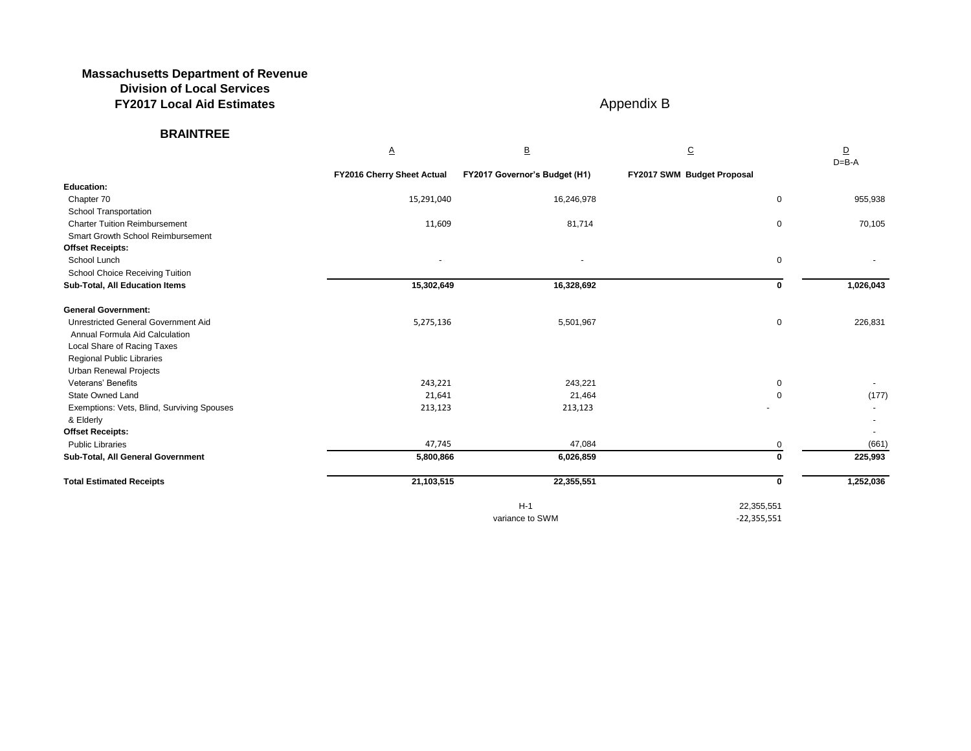## **Massachusetts Department of Revenue Division of Local Services FY2017 Local Aid Estimates** Appendix B

## **BRAINTREE**

| Ą.<br>А |  |
|---------|--|

| $\mathbf{0}$                     | 955,938   |
|----------------------------------|-----------|
| 0                                | 70,105    |
| 0                                |           |
| 0                                | 1,026,043 |
| 0                                | 226,831   |
| $\begin{matrix}0\\0\end{matrix}$ | (177)     |
|                                  |           |
| $\frac{0}{\mathbf{0}}$           | (661)     |
|                                  | 225,993   |
| $\overline{\mathbf{0}}$          | 1,252,036 |
| 51<br>51                         |           |

|                                            | $\underline{\mathsf{A}}$          | $\overline{\mathsf{B}}$       | $\overline{C}$             | $\overline{\mathsf{D}}$<br>$D = B - A$ |
|--------------------------------------------|-----------------------------------|-------------------------------|----------------------------|----------------------------------------|
|                                            | <b>FY2016 Cherry Sheet Actual</b> | FY2017 Governor's Budget (H1) | FY2017 SWM Budget Proposal |                                        |
| <b>Education:</b>                          |                                   |                               |                            |                                        |
| Chapter 70                                 | 15,291,040                        | 16,246,978                    | 0                          | 955,938                                |
| School Transportation                      |                                   |                               |                            |                                        |
| <b>Charter Tuition Reimbursement</b>       | 11,609                            | 81,714                        | 0                          | 70,105                                 |
| <b>Smart Growth School Reimbursement</b>   |                                   |                               |                            |                                        |
| <b>Offset Receipts:</b>                    |                                   |                               |                            |                                        |
| School Lunch                               |                                   |                               | 0                          |                                        |
| <b>School Choice Receiving Tuition</b>     |                                   |                               |                            |                                        |
| <b>Sub-Total, All Education Items</b>      | 15,302,649                        | 16,328,692                    | 0                          | 1,026,043                              |
| <b>General Government:</b>                 |                                   |                               |                            |                                        |
| <b>Unrestricted General Government Aid</b> | 5,275,136                         | 5,501,967                     | 0                          | 226,831                                |
| Annual Formula Aid Calculation             |                                   |                               |                            |                                        |
| Local Share of Racing Taxes                |                                   |                               |                            |                                        |
| Regional Public Libraries                  |                                   |                               |                            |                                        |
| <b>Urban Renewal Projects</b>              |                                   |                               |                            |                                        |
| Veterans' Benefits                         | 243,221                           | 243,221                       | 0                          |                                        |
| State Owned Land                           | 21,641                            | 21,464                        | 0                          | (177)                                  |
| Exemptions: Vets, Blind, Surviving Spouses | 213,123                           | 213,123                       |                            |                                        |
| & Elderly                                  |                                   |                               |                            |                                        |
| <b>Offset Receipts:</b>                    |                                   |                               |                            |                                        |
| <b>Public Libraries</b>                    | 47,745                            | 47,084                        | 0                          | (661)                                  |
| Sub-Total, All General Government          | 5,800,866                         | 6,026,859                     | 0                          | 225,993                                |
| <b>Total Estimated Receipts</b>            | 21,103,515                        | 22,355,551                    | $\mathbf 0$                | 1,252,036                              |
|                                            |                                   | $H-1$                         | 22,355,551                 |                                        |
|                                            |                                   | variance to SWM               | $-22,355,551$              |                                        |